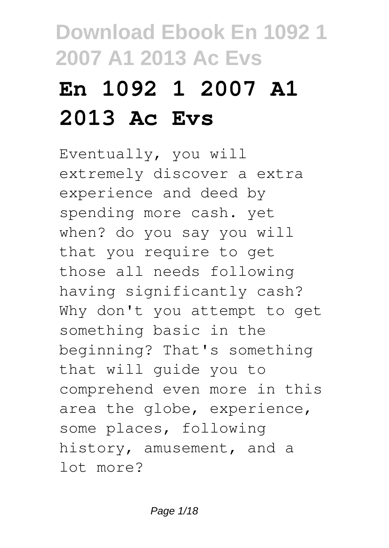# **En 1092 1 2007 A1 2013 Ac Evs**

Eventually, you will extremely discover a extra experience and deed by spending more cash. yet when? do you say you will that you require to get those all needs following having significantly cash? Why don't you attempt to get something basic in the beginning? That's something that will guide you to comprehend even more in this area the globe, experience, some places, following history, amusement, and a lot more?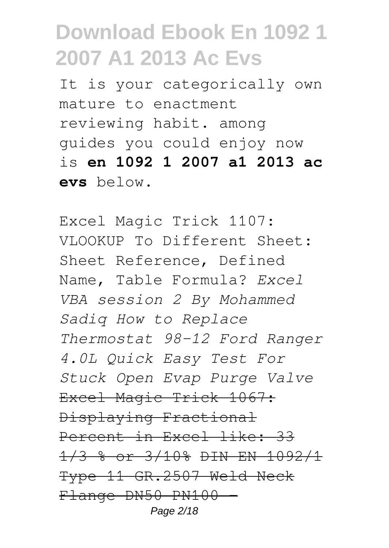It is your categorically own mature to enactment reviewing habit. among guides you could enjoy now is **en 1092 1 2007 a1 2013 ac evs** below.

Excel Magic Trick 1107: VLOOKUP To Different Sheet: Sheet Reference, Defined Name, Table Formula? *Excel VBA session 2 By Mohammed Sadiq How to Replace Thermostat 98-12 Ford Ranger 4.0L Quick Easy Test For Stuck Open Evap Purge Valve* Excel Magic Trick 1067: Displaying Fractional Percent in Excel like: 33 1/3 % or 3/10% DIN EN 1092/1 Type 11 GR.2507 Weld Neck Flange DN50 PN100 -Page 2/18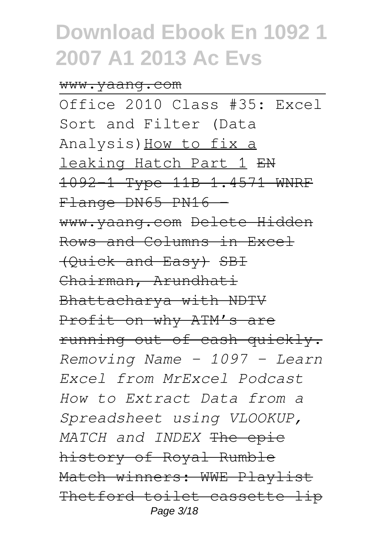#### www.yaang.com

Office 2010 Class #35: Excel Sort and Filter (Data Analysis)How to fix a leaking Hatch Part 1 EN 1092-1 Type 11B 1.4571 WNRF Flange DN65 PN16 www.yaang.com Delete Hidden Rows and Columns in Excel (Quick and Easy) SBI Chairman, Arundhati Bhattacharya with NDTV Profit on why ATM's are running out of cash quickly. *Removing Name - 1097 - Learn Excel from MrExcel Podcast How to Extract Data from a Spreadsheet using VLOOKUP, MATCH and INDEX* The epic history of Royal Rumble Match winners: WWE Playlist Thetford toilet cassette lip Page 3/18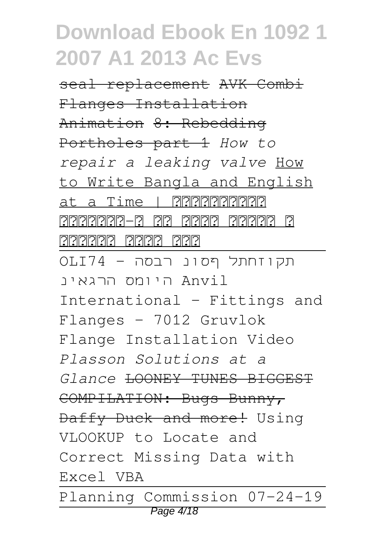seal replacement AVK Combi Flanges Installation Animation 8: Rebedding Portholes part 1 *How to repair a leaking valve* How to Write Bangla and English at a Time | <u>বিবিবিবিবিবি</u> ওয়ার্ড-এ এক সাথে বাংলা ও টাইনিটাই টাইনিটাই টাই תקוזחתל ףסונ רבסה - 74OLI Anvil היומס הרגאינ International - Fittings and Flanges - 7012 Gruvlok Flange Installation Video *Plasson Solutions at a Glance* LOONEY TUNES BIGGEST COMPILATION: Bugs Bunny, Daffy Duck and more! Using VLOOKUP to Locate and Correct Missing Data with Excel VBA Planning Commission 07-24-19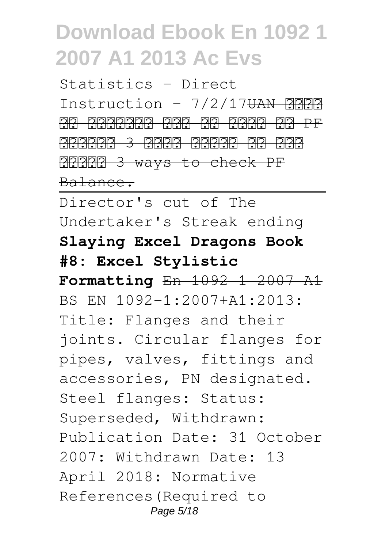Statistics - Direct Instruction - 7/2/17<del>UAN 2222</del> <u>93 9333333 333 93 9333 93 PF</u> बैलेंस 3 आसान तरीको से चेक aaaa 3 ways to check PF Balance.

Director's cut of The Undertaker's Streak ending **Slaying Excel Dragons Book #8: Excel Stylistic Formatting** En 1092 1 2007 A1 BS EN 1092-1:2007+A1:2013: Title: Flanges and their joints. Circular flanges for pipes, valves, fittings and accessories, PN designated. Steel flanges: Status: Superseded, Withdrawn: Publication Date: 31 October 2007: Withdrawn Date: 13 April 2018: Normative References(Required to Page  $5/18$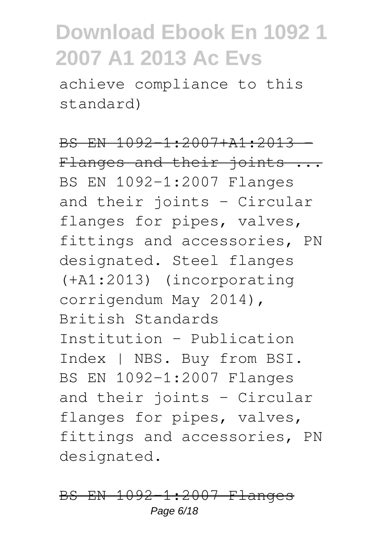achieve compliance to this standard)

BS EN 1092-1:2007+A1:2013 Flanges and their joints ... BS EN 1092-1:2007 Flanges and their joints - Circular flanges for pipes, valves, fittings and accessories, PN designated. Steel flanges (+A1:2013) (incorporating corrigendum May 2014), British Standards Institution - Publication Index | NBS. Buy from BSI. BS EN 1092-1:2007 Flanges and their joints - Circular flanges for pipes, valves, fittings and accessories, PN designated.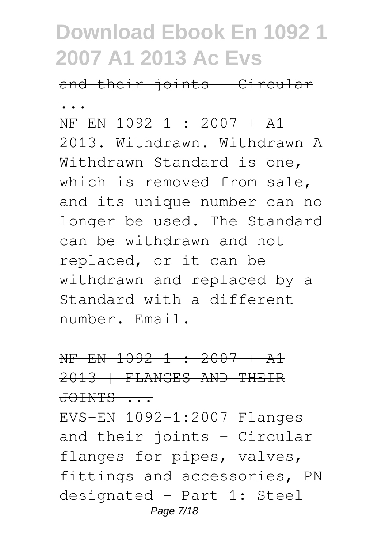and their joints - Circular ...

NF EN 1092-1 : 2007 + A1 2013. Withdrawn. Withdrawn A Withdrawn Standard is one, which is removed from sale, and its unique number can no longer be used. The Standard can be withdrawn and not replaced, or it can be withdrawn and replaced by a Standard with a different number. Email.

### NF EN 1092-1 : 2007 + A1 2013 | FLANGES AND THEIR JOINTS ...

EVS-EN 1092-1:2007 Flanges and their joints - Circular flanges for pipes, valves, fittings and accessories, PN designated - Part 1: Steel Page 7/18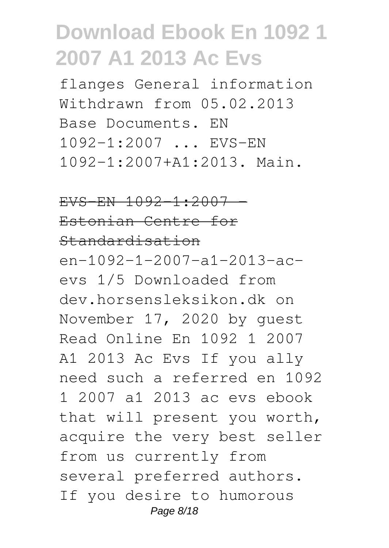flanges General information Withdrawn from 05.02.2013 Base Documents. EN 1092-1:2007 ... EVS-EN 1092-1:2007+A1:2013. Main.

### $EVS-FN$  1092-1:2007 -

### Estonian Centre for Standardisation

en-1092-1-2007-a1-2013-acevs 1/5 Downloaded from dev.horsensleksikon.dk on November 17, 2020 by guest Read Online En 1092 1 2007 A1 2013 Ac Evs If you ally need such a referred en 1092 1 2007 a1 2013 ac evs ebook that will present you worth, acquire the very best seller from us currently from several preferred authors. If you desire to humorous Page 8/18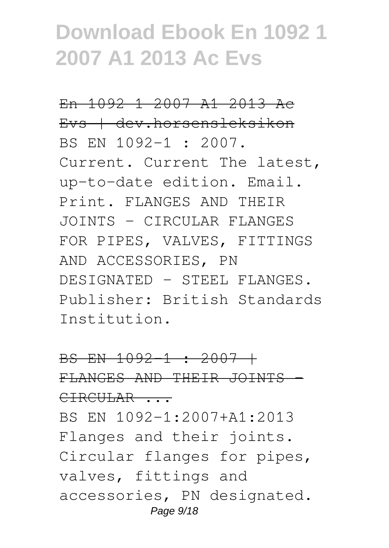En 1092 1 2007 A1 2013 Ac Evs | dev.horsensleksikon BS EN 1092-1 : 2007. Current. Current The latest, up-to-date edition. Email. Print. FLANGES AND THEIR JOINTS - CIRCULAR FLANGES FOR PIPES, VALVES, FITTINGS AND ACCESSORIES, PN DESIGNATED - STEEL FLANGES. Publisher: British Standards Institution.

### BS EN 1092-1 : 2007 + FLANGES AND THEIR JOINTS - CIRCULAR ... BS EN 1092-1:2007+A1:2013 Flanges and their joints. Circular flanges for pipes, valves, fittings and accessories, PN designated. Page 9/18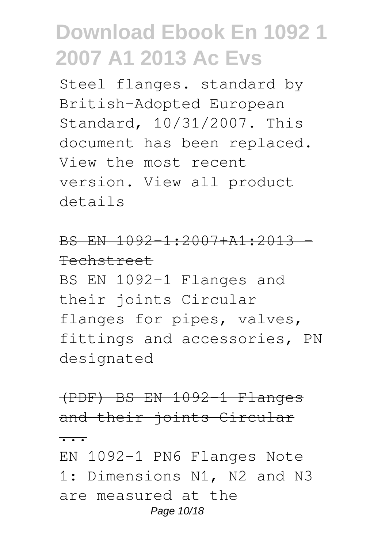Steel flanges. standard by British-Adopted European Standard, 10/31/2007. This document has been replaced. View the most recent version. View all product details

### BS EN 1092-1:2007+A1:2013 - Techstreet

BS EN 1092-1 Flanges and their joints Circular flanges for pipes, valves, fittings and accessories, PN designated

(PDF) BS EN 1092-1 Flanges and their joints Circular

...

EN 1092-1 PN6 Flanges Note 1: Dimensions N1, N2 and N3 are measured at the Page 10/18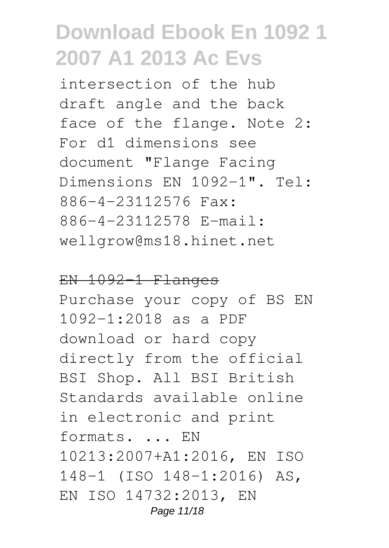intersection of the hub draft angle and the back face of the flange. Note 2: For d1 dimensions see document "Flange Facing Dimensions EN 1092-1". Tel: 886-4-23112576 Fax: 886-4-23112578 E-mail: wellgrow@ms18.hinet.net

#### EN 1092-1 Flanges

Purchase your copy of BS EN 1092-1:2018 as a PDF download or hard copy directly from the official BSI Shop. All BSI British Standards available online in electronic and print formats. ... EN 10213:2007+A1:2016, EN ISO 148-1 (ISO 148-1:2016) AS, EN ISO 14732:2013, EN Page 11/18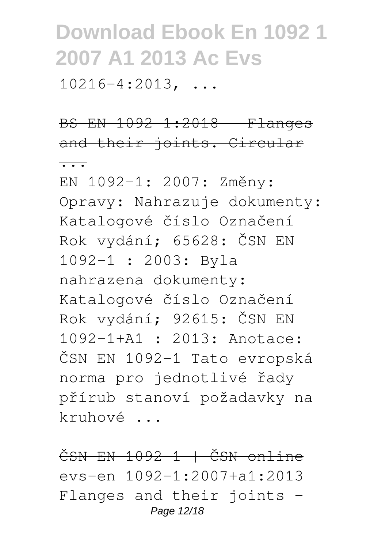$10216-4:2013$ , ...

BS EN 1092-1:2018 - Flanges and their joints. Circular  $\overline{\cdots}$ 

EN 1092-1: 2007: Změny: Opravy: Nahrazuje dokumenty: Katalogové číslo Označení Rok vydání; 65628: ČSN EN 1092-1 : 2003: Byla nahrazena dokumenty: Katalogové číslo Označení Rok vydání; 92615: ČSN EN 1092-1+A1 : 2013: Anotace: ČSN EN 1092-1 Tato evropská norma pro jednotlivé řady přírub stanoví požadavky na kruhové ...

ČSN EN 1092-1 | ČSN online evs-en 1092-1:2007+a1:2013 Flanges and their joints - Page 12/18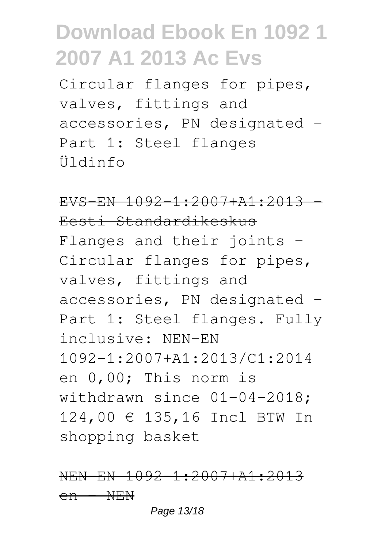Circular flanges for pipes, valves, fittings and accessories, PN designated -Part 1: Steel flanges Üldinfo

 $EVS-FN$  1092-1:2007+A1:2013 Eesti Standardikeskus Flanges and their joints - Circular flanges for pipes, valves, fittings and accessories, PN designated - Part 1: Steel flanges. Fully inclusive: NEN-EN 1092-1:2007+A1:2013/C1:2014 en 0,00; This norm is withdrawn since 01-04-2018; 124,00 € 135,16 Incl BTW In shopping basket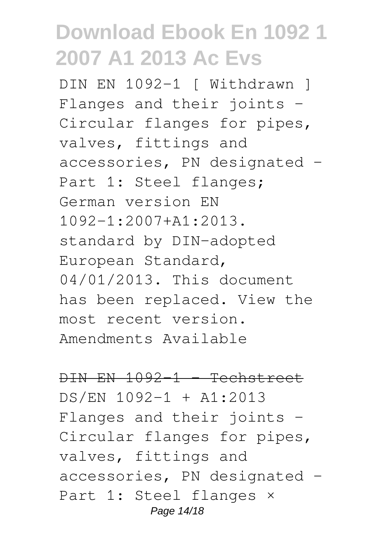DIN EN 1092-1 [ Withdrawn ] Flanges and their joints - Circular flanges for pipes, valves, fittings and accessories, PN designated -Part 1: Steel flanges; German version EN 1092-1:2007+A1:2013. standard by DIN-adopted European Standard, 04/01/2013. This document has been replaced. View the most recent version. Amendments Available

 $DIN$   $EN$   $1092-1$  - Techstreet DS/EN 1092-1 + A1:2013 Flanges and their joints - Circular flanges for pipes, valves, fittings and accessories, PN designated - Part 1: Steel flanges × Page 14/18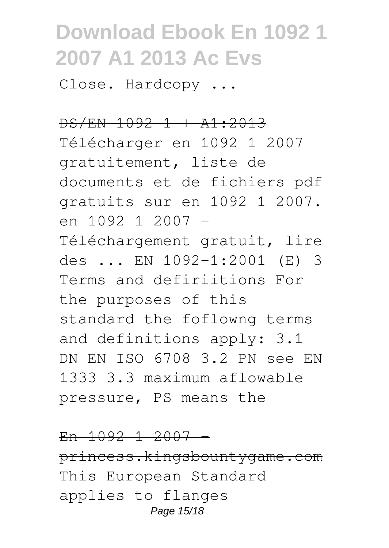Close. Hardcopy ...

### DS/EN 1092-1 + A1:2013

Télécharger en 1092 1 2007 gratuitement, liste de documents et de fichiers pdf gratuits sur en 1092 1 2007. en 1092 1 2007 - Téléchargement gratuit, lire des ... EN 1092-1:2001 (E) 3 Terms and defiriitions For the purposes of this standard the foflowng terms and definitions apply: 3.1 DN EN ISO 6708 3.2 PN see EN 1333 3.3 maximum aflowable pressure, PS means the

 $En$  1092 1 2007 princess.kingsbountygame.com This European Standard applies to flanges Page 15/18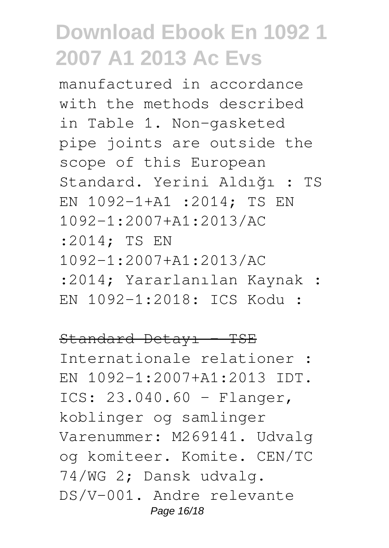manufactured in accordance with the methods described in Table 1. Non-gasketed pipe joints are outside the scope of this European Standard. Yerini Aldığı : TS EN 1092-1+A1 :2014; TS EN 1092-1:2007+A1:2013/AC :2014; TS EN 1092-1:2007+A1:2013/AC :2014; Yararlanılan Kaynak : EN 1092-1:2018: ICS Kodu :

#### Standard Detayı - TSE

Internationale relationer : EN 1092-1:2007+A1:2013 IDT. ICS: 23.040.60 - Flanger, koblinger og samlinger Varenummer: M269141. Udvalg og komiteer. Komite. CEN/TC 74/WG 2; Dansk udvalg. DS/V-001. Andre relevante Page 16/18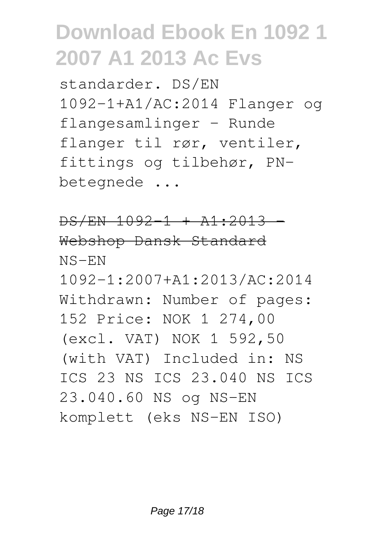standarder. DS/EN 1092-1+A1/AC:2014 Flanger og flangesamlinger - Runde flanger til rør, ventiler, fittings og tilbehør, PNbetegnede ...

 $DS/EN$  1092-1 +  $A1:2013$  -Webshop Dansk Standard NS-EN 1092-1:2007+A1:2013/AC:2014 Withdrawn: Number of pages: 152 Price: NOK 1 274,00 (excl. VAT) NOK 1 592,50 (with VAT) Included in: NS ICS 23 NS ICS 23.040 NS ICS 23.040.60 NS og NS-EN komplett (eks NS-EN ISO)